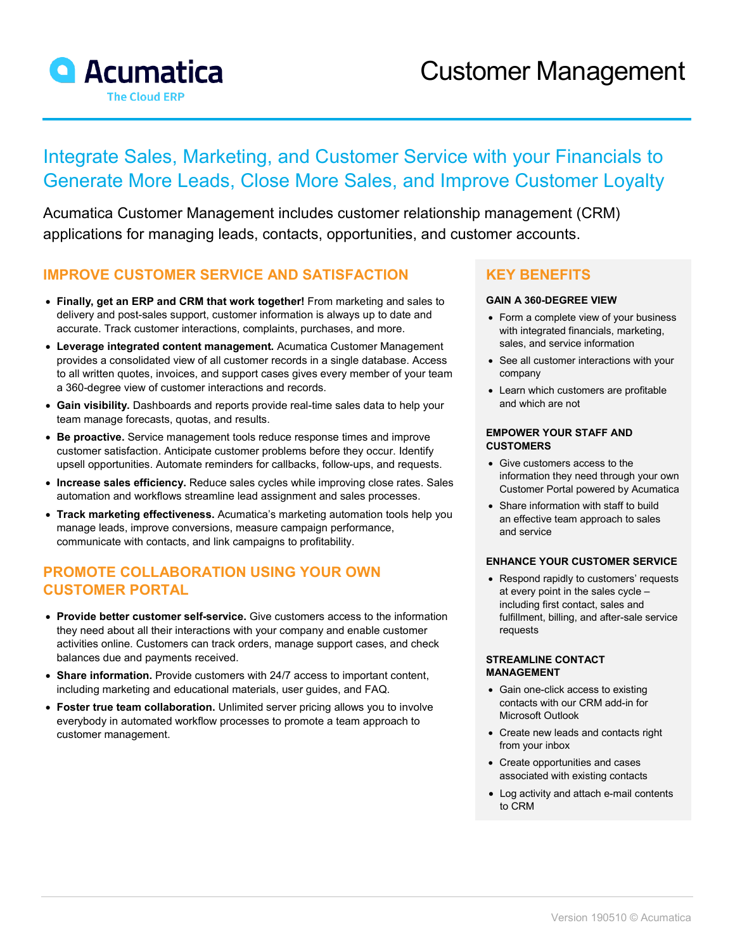

# Integrate Sales, Marketing, and Customer Service with your Financials to Generate More Leads, Close More Sales, and Improve Customer Loyalty

Acumatica Customer Management includes customer relationship management (CRM) applications for managing leads, contacts, opportunities, and customer accounts.

### **IMPROVE CUSTOMER SERVICE AND SATISFACTION**

- **Finally, get an ERP and CRM that work together!** From marketing and sales to delivery and post-sales support, customer information is always up to date and accurate. Track customer interactions, complaints, purchases, and more.
- **Leverage integrated content management.** Acumatica Customer Management provides a consolidated view of all customer records in a single database. Access to all written quotes, invoices, and support cases gives every member of your team a 360-degree view of customer interactions and records.
- **Gain visibility.** Dashboards and reports provide real-time sales data to help your team manage forecasts, quotas, and results.
- **Be proactive.** Service management tools reduce response times and improve customer satisfaction. Anticipate customer problems before they occur. Identify upsell opportunities. Automate reminders for callbacks, follow-ups, and requests.
- **Increase sales efficiency.** Reduce sales cycles while improving close rates. Sales automation and workflows streamline lead assignment and sales processes.
- **Track marketing effectiveness.** Acumatica's marketing automation tools help you manage leads, improve conversions, measure campaign performance, communicate with contacts, and link campaigns to profitability.

## **PROMOTE COLLABORATION USING YOUR OWN CUSTOMER PORTAL**

- **Provide better customer self-service.** Give customers access to the information they need about all their interactions with your company and enable customer activities online. Customers can track orders, manage support cases, and check balances due and payments received.
- **Share information.** Provide customers with 24/7 access to important content, including marketing and educational materials, user guides, and FAQ.
- **Foster true team collaboration.** Unlimited server pricing allows you to involve everybody in automated workflow processes to promote a team approach to customer management.

## **KEY BENEFITS**

#### **GAIN A 360-DEGREE VIEW**

- Form a complete view of your business with integrated financials, marketing, sales, and service information
- See all customer interactions with your company
- Learn which customers are profitable and which are not

#### **EMPOWER YOUR STAFF AND CUSTOMERS**

- Give customers access to the information they need through your own Customer Portal powered by Acumatica
- Share information with staff to build an effective team approach to sales and service

#### **ENHANCE YOUR CUSTOMER SERVICE**

• Respond rapidly to customers' requests at every point in the sales cycle – including first contact, sales and fulfillment, billing, and after-sale service requests

#### **STREAMLINE CONTACT MANAGEMENT**

- Gain one-click access to existing contacts with our CRM add-in for Microsoft Outlook
- Create new leads and contacts right from your inbox
- Create opportunities and cases associated with existing contacts
- Log activity and attach e-mail contents to CRM